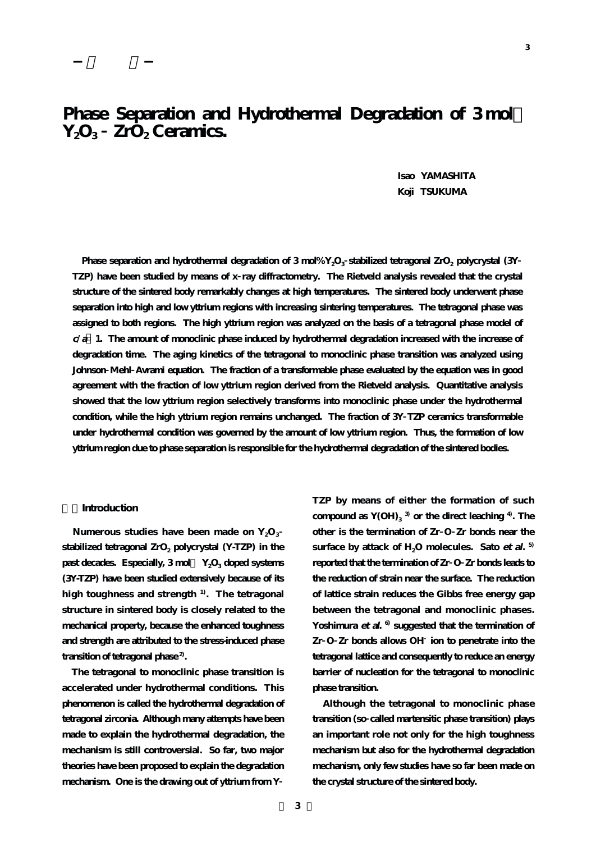# Phase Separation and Hydrothermal Degradation of 3 mol **Y2O3 ZrO2 Ceramics.**

**Isao YAMASHITA Koji TSUKUMA**

**Phase separation and hydrothermal degradation of 3 mol% Y<sub>2</sub>O<sub>3</sub> stabilized tetragonal ZrO<sub>2</sub> polycrystal (3Y) TZP) have been studied by means of x ray diffractometry. The Rietveld analysis revealed that the crystal structure of the sintered body remarkably changes at high temperatures. The sintered body underwent phase separation into high and low yttrium regions with increasing sintering temperatures. The tetragonal phase was assigned to both regions. The high yttrium region was analyzed on the basis of a tetragonal phase model of <sup>c</sup>/<sup>a</sup> 1. The amount of monoclinic phase induced by hydrothermal degradation increased with the increase of degradation time. The aging kinetics of the tetragonal to monoclinic phase transition was analyzed using Johnson Mehl Avrami equation. The fraction of a transformable phase evaluated by the equation was in good agreement with the fraction of low yttrium region derived from the Rietveld analysis. Quantitative analysis showed that the low yttrium region selectively transforms into monoclinic phase under the hydrothermal condition, while the high yttrium region remains unchanged. The fraction of 3Y TZP ceramics transformable under hydrothermal condition was governed by the amount of low yttrium region. Thus, the formation of low yttrium region due to phase separation is responsible for the hydrothermal degradation of the sintered bodies.**

## **1.Introduction**

Numerous studies have been made on  $Y_2O_3$ stabilized tetragonal ZrO<sub>2</sub> polycrystal (Y-TZP) in the past decades. Especially, 3 mol  $Y_2O_3$  doped systems **(3Y-TZP) have been studied extensively because of its high toughness and strength 1). The tetragonal structure in sintered body is closely related to the mechanical property, because the enhanced toughness and strength are attributed to the stress-induced phase transition of tetragonal phase 2).** 

**The tetragonal to monoclinic phase transition is accelerated under hydrothermal conditions. This phenomenon is called the hydrothermal degradation of tetragonal zirconia. Although many attempts have been made to explain the hydrothermal degradation, the mechanism is still controversial. So far, two major theories have been proposed to explain the degradation mechanism. One is the drawing out of yttrium from Y**

**TZP by means of either the formation of such compound as Y(OH)3 3) or the direct leaching 4). The other is the termination of Zr O Zr bonds near the surface by attack of H2O molecules. Sato et al. 5) reported that the termination of Zr O Zr bonds leads to the reduction of strain near the surface. The reduction of lattice strain reduces the Gibbs free energy gap between the tetragonal and monoclinic phases. Yoshimura et al. 6) suggested that the termination of Zr O Zr bonds allows OH ion to penetrate into the tetragonal lattice and consequently to reduce an energy barrier of nucleation for the tetragonal to monoclinic phase transition.** 

**Although the tetragonal to monoclinic phase transition (so called martensitic phase transition) plays an important role not only for the high toughness mechanism but also for the hydrothermal degradation mechanism, only few studies have so far been made on the crystal structure of the sintered body.**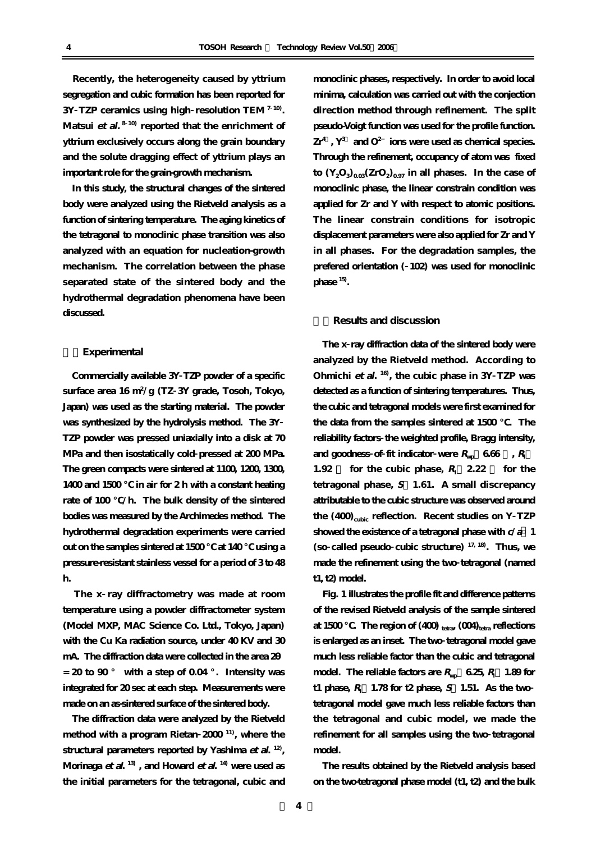**Recently, the heterogeneity caused by yttrium segregation and cubic formation has been reported for 3Y TZP ceramics using high resolution TEM <sup>7</sup> 10). Matsui et al. <sup>8</sup> 10) reported that the enrichment of yttrium exclusively occurs along the grain boundary and the solute dragging effect of yttrium plays an important role for the grain-growth mechanism.** 

**In this study, the structural changes of the sintered body were analyzed using the Rietveld analysis as a function of sintering temperature. The aging kinetics of the tetragonal to monoclinic phase transition was also analyzed with an equation for nucleation-growth mechanism. The correlation between the phase separated state of the sintered body and the hydrothermal degradation phenomena have been discussed.** 

#### **2.Experimental**

**Commercially available 3Y TZP powder of a specific surface area 16 m<sup>2</sup> /g (TZ 3Y grade, Tosoh, Tokyo, Japan) was used as the starting material. The powder was synthesized by the hydrolysis method. The 3Y TZP powder was pressed uniaxially into a disk at 70 MPa and then isostatically cold pressed at 200 MPa. The green compacts were sintered at 1100, 1200, 1300, 1400 and 1500 ℃ in air for 2 h with a constant heating rate of 100 ℃/h. The bulk density of the sintered bodies was measured by the Archimedes method. The hydrothermal degradation experiments were carried out on the samples sintered at 1500 ℃ at 140 ℃ using a pressure-resistant stainless vessel for a period of 3 to 48 h.** 

**The x ray diffractometry was made at room temperature using a powder diffractometer system (Model MXP, MAC Science Co. Ltd., Tokyo, Japan) with the Cu Ka radiation source, under 40 KV and 30** mA. The diffraction data were collected in the area 2  $= 20$  to  $90^{\circ}$  with a step of  $0.04^{\circ}$ . Intensity was **integrated for 20 sec at each step. Measurements were made on an as-sintered surface of the sintered body.** 

**The diffraction data were analyzed by the Rietveld method with a program Rietan 2000 11), where the structural parameters reported by Yashima et al. 12), Morinaga et al. 13) , and Howard et al. 14) were used as the initial parameters for the tetragonal, cubic and** **monoclinic phases, respectively. In order to avoid local minima, calculation was carried out with the conjection direction method through refinement. The split pseudo-Voigt function was used for the profile function.**  $Zr^4$ ,  $Y^3$  and  $O^2$  **ions** were used as chemical species. **Through the refinement, occupancy of atom was fixed**  $\text{to } (Y_2O_3)_{0.03} (ZrO_2)_{0.97}$  in all phases. In the case of **monoclinic phase, the linear constrain condition was applied for Zr and Y with respect to atomic positions. The linear constrain conditions for isotropic displacement parameters were also applied for Zr and Y in all phases. For the degradation samples, the prefered orientation ( 102) was used for monoclinic phase 15).** 

# **3.Results and discussion**

**The x ray diffraction data of the sintered body were analyzed by the Rietveld method. According to Ohmichi et al. 16), the cubic phase in 3Y TZP was detected as a function of sintering temperatures. Thus, the cubic and tetragonal models were first examined for the data from the samples sintered at 1500 ℃. The reliability factors the weighted profile, Bragg intensity,** and goodness of fit indicator were  $R_{\text{w}}$  6.66 ,  $R_{\text{I}}$ **1.92** for the cubic phase,  $R_1$  **2.22** for the **tetragonal phase, S 1.61. A small discrepancy attributable to the cubic structure was observed around** the (400)<sub>cubic</sub> reflection. Recent studies on Y TZP **showed the existence of a tetragonal phase with c/<sup>a</sup> 1 (so called pseudo cubic structure) 17, 18). Thus, we made the refinement using the two tetragonal (named t1, t2) model.** 

**Fig. 1 illustrates the profile fit and difference patterns of the revised Rietveld analysis of the sample sintered at 1500 ℃. The region of (400) tetra, (004)tetra reflections is enlarged as an inset. The two tetragonal model gave much less reliable factor than the cubic and tetragonal**  $\bf{mod}$ el. The reliable factors are  $R_{\rm{wp}}$   $\bf{6.25},$   $R_{\rm{i}}$   $\bf{1.89}$  for **t1** phase,  $R$ <sup> $\text{I}$ </sup> 1.78 for t2 phase,  $S$  1.51. As the two **tetragonal model gave much less reliable factors than the tetragonal and cubic model, we made the refinement for all samples using the two tetragonal model.** 

**The results obtained by the Rietveld analysis based on the two-tetragonal phase model (t1, t2) and the bulk**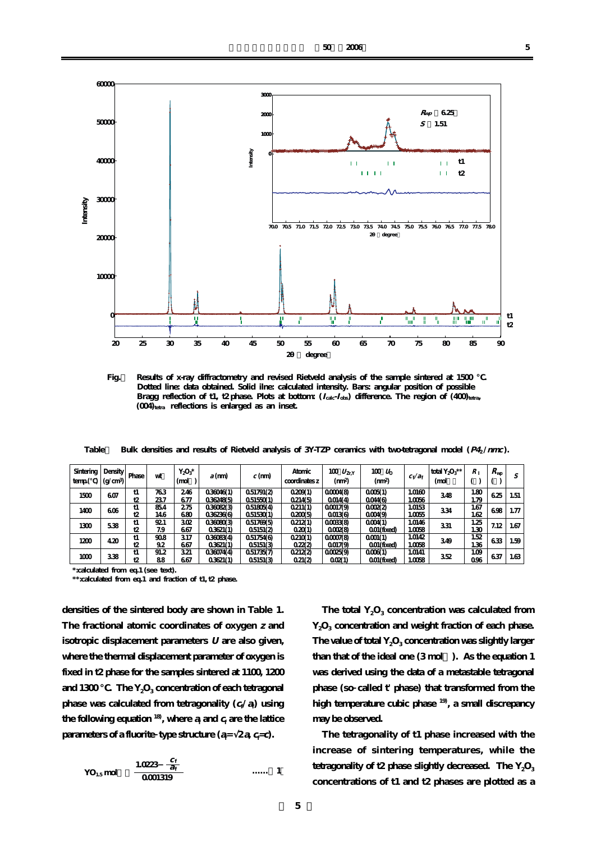

Fig. Results of x-ray diffractometry and revised Rietveld analysis of the sample sintered at 1500  **Dotted line: data obtained. Solid ilne: calculated intensity. Bars: angular position of possible**  Bragg reflection of t1, t2 phase. Plots at bottom:  $(I_{\text{calc}} \cdot I_{\text{obs}})$  difference. The region of  $(400)_{\text{tetra}}$ (004)<sub>tetra</sub> reflections is enlarged as an inset.

**Table** Bulk densities and results of Rietveld analysis of 3Y-TZP ceramics with two-tetragonal model ( $P4/nmc$ ).

| Sintering<br>temp( | Density<br>(g/cm <sup>3</sup> ) | Phase    | wt         | $Y_2O_3^*$<br>(mol     | $a$ (mm)               | $c$ (mm)                 | Atomic<br>coordinates z | 100 $U_{\rm ZrY}$<br>(nm <sup>2</sup> ) | 100 L <sub>b</sub><br>(mn <sup>2</sup> ) | $c_f/a_f$        | total $Y_2O_3$ **<br>(mol | $R_{\perp}$  | $R_{\rm WD}$ |      |
|--------------------|---------------------------------|----------|------------|------------------------|------------------------|--------------------------|-------------------------|-----------------------------------------|------------------------------------------|------------------|---------------------------|--------------|--------------|------|
| 1500               | 607                             | t1<br>t2 | 763<br>237 | 246<br>677             | 036046(1)<br>036248(5) | 0.51791(2)<br>0.51550(1) | 0.209(1)<br>0214(5)     | 00004(8)<br>0014(4)                     | 0005(1)<br>0044(6)                       | 1.0160<br>1.0056 | 348                       | 1.80<br>1.79 | 625          | 1.51 |
| 1400               | 606                             | t1<br>t2 | 854<br>146 | 275<br>680             | 036082(3)<br>036236(6) | 0.51805(4)<br>0.51530(1) | 0.211(1)<br>0200(5)     | 000179<br>0013(6)                       | 00022<br>0004(9)                         | 1.0153<br>1.0055 | 334                       | 1.67<br>1.62 | 698          | 1.77 |
| 1300               | 538                             | t1<br>t2 | 921<br>7.9 | 30 <sub>2</sub><br>667 | 036080(3)<br>0.3621(1) | 0.51769(5)<br>0.5151(2)  | 0212(1)<br>0.20(1)      | 000388<br>0002(8)                       | 0004(1)<br>$001$ (fixed)                 | 1.0146<br>1.0058 | 331                       | 1.25<br>1.30 | 7.12         | 1.67 |
| 1200               | 420                             | t1<br>t2 | 908<br>92  | 317<br>667             | 036083(4)<br>03621(1)  | 0.51754(6)<br>0.5151(3)  | 0.210(1)<br>022(2)      | 00007(8)<br>0017(9)                     | 0001(1)<br>$0.01$ (fixed)                | 1.0142<br>1.0058 | 349                       | 1.52<br>1.36 | 633          | 1.59 |
| 1000               | 338                             | t1<br>t2 | 91.2<br>88 | 321<br>667             | 036074(4)<br>03621(1)  | 0.51735(7)<br>0.5151(3)  | 0212(2)<br>021(2)       | 00025(9)<br>OOR(1)                      | 0006(1)<br>$001$ (fixed)                 | 1.0141<br>1.0058 | 352                       | 1.09<br>096  | 637          | 1.63 |

**\*:calculated from eq.1 (see text).**

**\*\*:calculated from eq.1 and fraction of t1, t2 phase.**

**densities of the sintered body are shown in Table 1. The fractional atomic coordinates of oxygen <sup>z</sup> and isotropic displacement parameters U are also given, where the thermal displacement parameter of oxygen is fixed in t2 phase for the samples sintered at 1100, 1200** and 1300  $\blacksquare$ . The Y<sub>2</sub>O<sub>3</sub> concentration of each tetragonal **phase was calculated from tetragonality (<sup>c</sup><sup>f</sup> /<sup>a</sup><sup>f</sup> ) using** the following equation  $^{18}$ , where  $a_i$  and  $c_i$  are the lattice **parameters of a fluorite type structure**  $(a=2a, c=0)$ **.** 

$$
YO_{1.5} \text{mol} \quad \frac{1.0223 \frac{C_{\text{f}}}{a_{\text{f}}}}{0.001319} \quad \dots \quad 1
$$

The total  $Y_2O_3$  concentration was calculated from **Y2O3 concentration and weight fraction of each phase.** The value of total Y<sub>2</sub>O<sub>3</sub> concentration was slightly larger **than that of the ideal one (3 mol%). As the equation 1 was derived using the data of a metastable tetragonal phase (so called t' phase) that transformed from the high temperature cubic phase 19), a small discrepancy may be observed.** 

**The tetragonality of t1 phase increased with the increase of sintering temperatures, while the** tetragonality of t2 phase slightly decreased. The  $Y_2O_3$ **concentrations of t1 and t2 phases are plotted as a**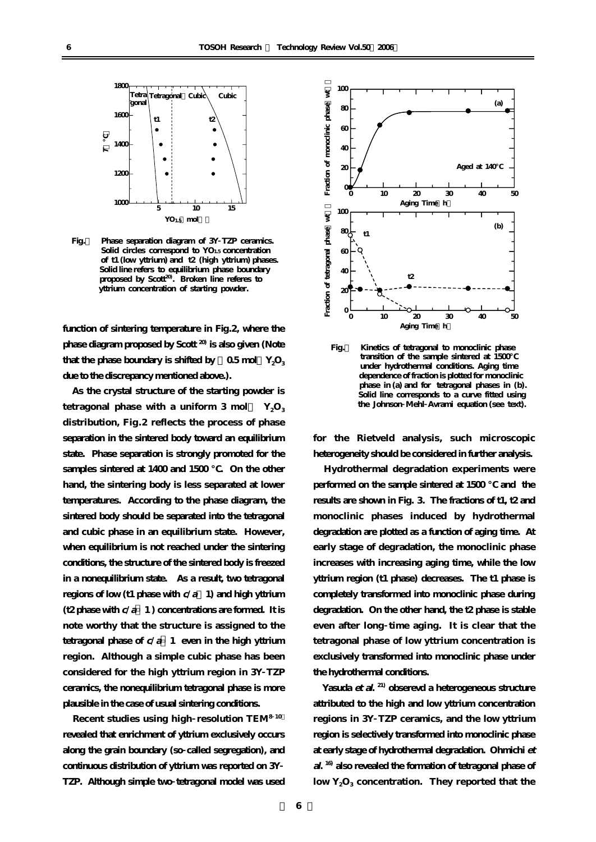

**Fig.2 Phase separation diagram of 3Y TZP ceramics. Solid circles correspond to YO1.5 concentration of t1 (low yttrium) and t2 (high yttrium) phases. Solid line refers to equilibrium phase boundary**  proposed by Scott<sup>20</sup>. Broken line referes to  **yttrium concentration of starting powder.**

**function of sintering temperature in Fig.2, where the phase diagram proposed by Scott 20) is also given (Note** that the phase boundary is shifted by  $-0.5$  mol  $Y_2O_3$ **due to the discrepancy mentioned above.).** 

**As the crystal structure of the starting powder is** tetragonal phase with a uniform  $3 \text{ mol}$  Y<sub>2</sub>O<sub>3</sub> **distribution, Fig.2 reflects the process of phase separation in the sintered body toward an equilibrium state. Phase separation is strongly promoted for the** samples sintered at 1400 and 1500 C. On the other **hand, the sintering body is less separated at lower temperatures. According to the phase diagram, the sintered body should be separated into the tetragonal and cubic phase in an equilibrium state. However, when equilibrium is not reached under the sintering conditions, the structure of the sintered body is freezed in a nonequilibrium state. As a result, two tetragonal regions of low (t1 phase with c/a>1) and high yttrium**  $(t2$  phase with  $c/a$  **1**) concentrations are formed. It is **note worthy that the structure is assigned to the tetragonal phase of c/<sup>a</sup> 1 even in the high yttrium region. Although a simple cubic phase has been considered for the high yttrium region in 3Y TZP ceramics, the nonequilibrium tetragonal phase is more plausible in the case of usual sintering conditions.** 

**Recent studies using high resolution TEM<sup>8</sup> 10) revealed that enrichment of yttrium exclusively occurs along the grain boundary (so called segregation), and continuous distribution of yttrium was reported on 3Y TZP. Although simple two tetragonal model was used**



**Fig.3 Kinetics of tetragonal to monoclinic phase transition of the sample sintered at 1500 under hydrothermal conditions. Aging time dependence of fraction is plotted for monoclinic phase in (a) and for tetragonal phases in (b). Solid line corresponds to a curve fitted using the Johnson Mehl Avrami equation (see text).** 

**for the Rietveld analysis, such microscopic heterogeneity should be considered in further analysis.**

**Hydrothermal degradation experiments were performed on the sample sintered at 1500 and the results are shown in Fig. 3. The fractions of t1, t2 and monoclinic phases induced by hydrothermal degradation are plotted as a function of aging time. At early stage of degradation, the monoclinic phase increases with increasing aging time, while the low yttrium region (t1 phase) decreases. The t1 phase is completely transformed into monoclinic phase during degradation. On the other hand, the t2 phase is stable even after long time aging. It is clear that the tetragonal phase of low yttrium concentration is exclusively transformed into monoclinic phase under the hydrothermal conditions.**

**Yasuda et al. 21) obserevd a heterogeneous structure attributed to the high and low yttrium concentration regions in 3Y TZP ceramics, and the low yttrium region is selectively transformed into monoclinic phase at early stage of hydrothermal degradation. Ohmichi et al. 16) also revealed the formation of tetragonal phase of low Y2O3 concentration. They reported that the**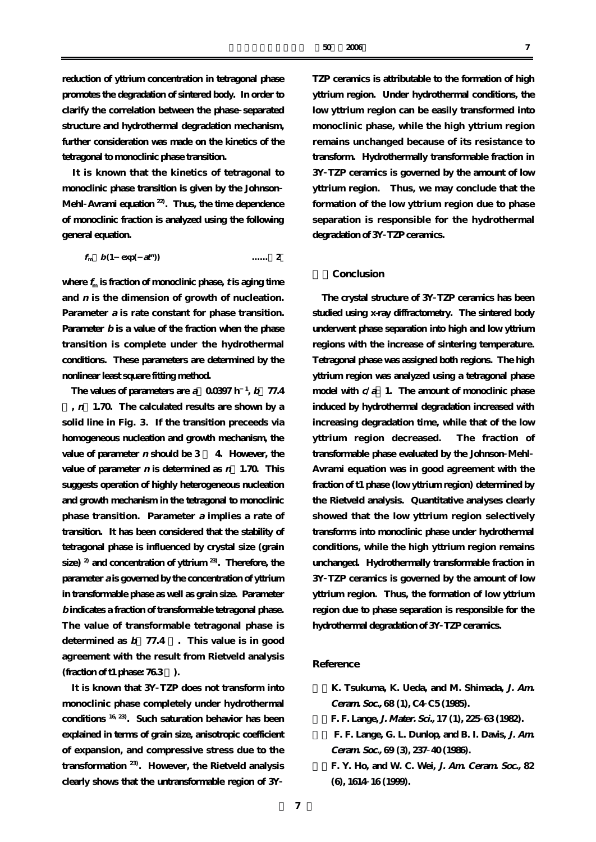**reduction of yttrium concentration in tetragonal phase promotes the degradation of sintered body. In order to clarify the correlation between the phase separated structure and hydrothermal degradation mechanism, further consideration was made on the kinetics of the tetragonal to monoclinic phase transition.**

**It is known that the kinetics of tetragonal to monoclinic phase transition is given by the Johnson Mehl Avrami equation 22). Thus, the time dependence of monoclinic fraction is analyzed using the following general equation.** 

$$
f_{\rm m} \quad b(1 \quad \exp(\quad at^{\rm m})) \qquad \qquad \ldots \qquad 2
$$

where  $f_m$  is fraction of monoclinic phase,  $t$  is aging time **and <sup>n</sup> is the dimension of growth of nucleation. Parameter <sup>a</sup> is rate constant for phase transition. Parameter b is a value of the fraction when the phase transition is complete under the hydrothermal conditions. These parameters are determined by the nonlinear least square fitting method.** 

The values of parameters are  $a = 0.0397$  h<sup>-1</sup>, b 77.4 **%, n=1.70. The calculated results are shown by a solid line in Fig. 3. If the transition preceeds via homogeneous nucleation and growth mechanism, the value of parameter <sup>n</sup> should be 3 ~ 4. However, the value of parameter <sup>n</sup> is determined as n=1.70. This suggests operation of highly heterogeneous nucleation and growth mechanism in the tetragonal to monoclinic phase transition. Parameter <sup>a</sup> implies a rate of transition. It has been considered that the stability of tetragonal phase is influenced by crystal size (grain size) 2) and concentration of yttrium 23). Therefore, the parameter <sup>a</sup> is governed by the concentration of yttrium in transformable phase as well as grain size. Parameter b indicates a fraction of transformable tetragonal phase. The value of transformable tetragonal phase is determined as b=77.4 %. This value is in good agreement with the result from Rietveld analysis**  $(fraction of t1 phase: 76.3)$ .

**It is known that 3Y TZP does not transform into monoclinic phase completely under hydrothermal conditions 16, 23). Such saturation behavior has been explained in terms of grain size, anisotropic coefficient of expansion, and compressive stress due to the transformation 23). However, the Rietveld analysis clearly shows that the untransformable region of 3Y**

**TZP ceramics is attributable to the formation of high yttrium region. Under hydrothermal conditions, the low yttrium region can be easily transformed into monoclinic phase, while the high yttrium region remains unchanged because of its resistance to transform. Hydrothermally transformable fraction in 3Y TZP ceramics is governed by the amount of low yttrium region. Thus, we may conclude that the formation of the low yttrium region due to phase separation is responsible for the hydrothermal degradation of 3Y TZP ceramics.** 

# **4.Conclusion**

**The crystal structure of 3Y TZP ceramics has been studied using x-ray diffractometry. The sintered body underwent phase separation into high and low yttrium regions with the increase of sintering temperature. Tetragonal phase was assigned both regions. The high yttrium region was analyzed using a tetragonal phase model with c/<sup>a</sup> 1. The amount of monoclinic phase induced by hydrothermal degradation increased with increasing degradation time, while that of the low yttrium region decreased. The fraction of transformable phase evaluated by the Johnson Mehl Avrami equation was in good agreement with the fraction of t1 phase (low yttrium region) determined by the Rietveld analysis. Quantitative analyses clearly showed that the low yttrium region selectively transforms into monoclinic phase under hydrothermal conditions, while the high yttrium region remains unchanged. Hydrothermally transformable fraction in 3Y TZP ceramics is governed by the amount of low yttrium region. Thus, the formation of low yttrium region due to phase separation is responsible for the hydrothermal degradation of 3Y TZP ceramics.** 

# **Reference**

**1)K. Tsukuma, K. Ueda, and M. Shimada, J. Am. Ceram. Soc., 68 (1), C4 C5 (1985). 2)F. F. Lange, J. Mater. Sci., 17 (1), 225 63 (1982). 3) F. F. Lange, G. L. Dunlop, and B. I. Davis, J. Am. Ceram. Soc., 69 (3), 237 40 (1986). 4)F. Y. Ho, and W. C. Wei, J. Am. Ceram. Soc., 82 (6), 1614 16 (1999).**